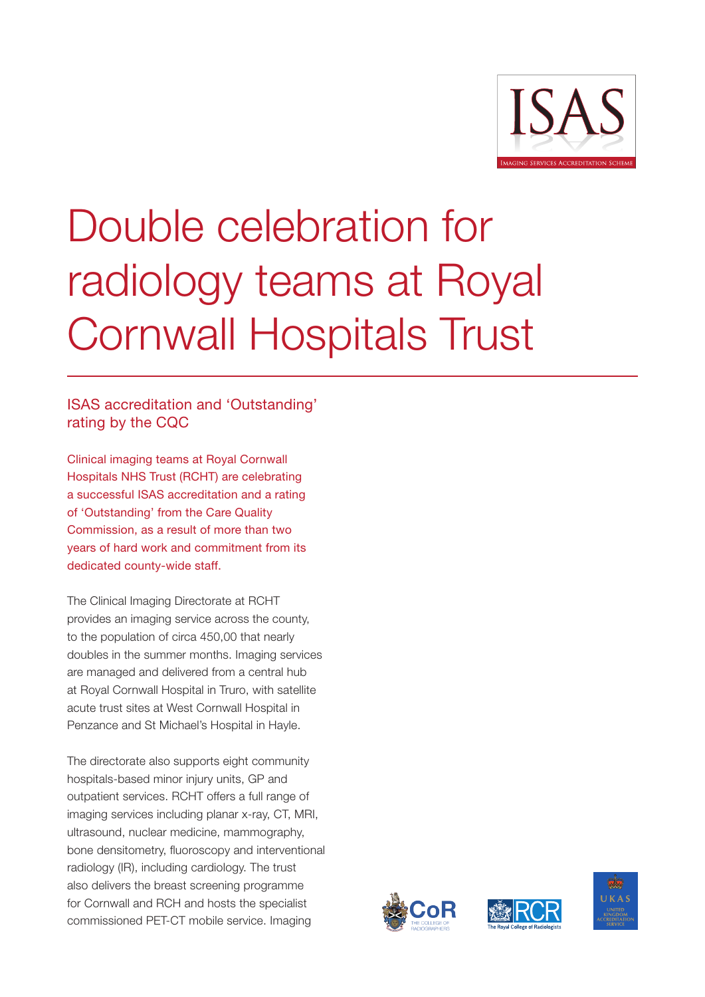

## Double celebration for radiology teams at Royal Cornwall Hospitals Trust

## ISAS accreditation and 'Outstanding' rating by the CQC

Clinical imaging teams at Royal Cornwall Hospitals NHS Trust (RCHT) are celebrating a successful ISAS accreditation and a rating of 'Outstanding' from the Care Quality Commission, as a result of more than two years of hard work and commitment from its dedicated county-wide staff.

The Clinical Imaging Directorate at RCHT provides an imaging service across the county, to the population of circa 450,00 that nearly doubles in the summer months. Imaging services are managed and delivered from a central hub at Royal Cornwall Hospital in Truro, with satellite acute trust sites at West Cornwall Hospital in Penzance and St Michael's Hospital in Hayle.

The directorate also supports eight community hospitals-based minor injury units, GP and outpatient services. RCHT offers a full range of imaging services including planar x-ray, CT, MRI, ultrasound, nuclear medicine, mammography, bone densitometry, fluoroscopy and interventional radiology (IR), including cardiology. The trust also delivers the breast screening programme for Cornwall and RCH and hosts the specialist commissioned PET-CT mobile service. Imaging





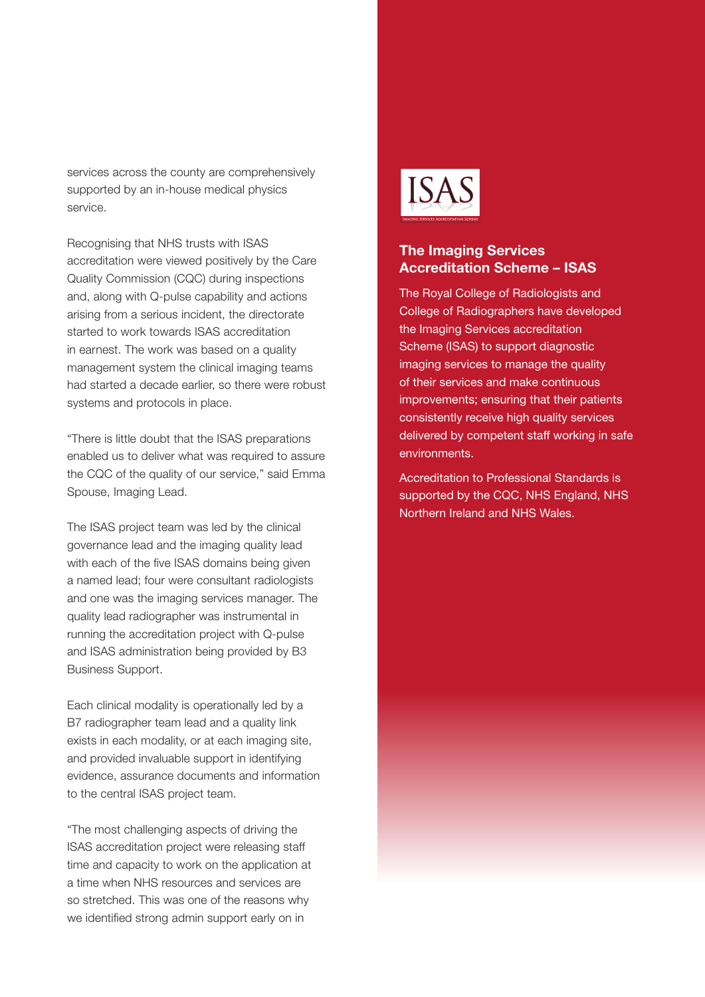services across the county are comprehensively supported by an in-house medical physics service.

Recognising that NHS trusts with ISAS accreditation were viewed positively by the Care Quality Commission (CQC) during inspections and, along with Q-pulse capability and actions arising from a serious incident, the directorate started to work towards ISAS accreditation in earnest. The work was based on a quality management system the clinical imaging teams had started a decade earlier, so there were robust systems and protocols in place.

"There is little doubt that the ISAS preparations enabled us to deliver what was required to assure the CQC of the quality of our service," said Emma Spouse, Imaging Lead.

The ISAS project team was led by the clinical governance lead and the imaging quality lead with each of the five ISAS domains being given a named lead; four were consultant radiologists and one was the imaging services manager. The quality lead radiographer was instrumental in running the accreditation project with Q-pulse and ISAS administration being provided by B3 Business Support.

Each clinical modality is operationally led by a B7 radiographer team lead and a quality link exists in each modality, or at each imaging site, and provided invaluable support in identifying evidence, assurance documents and information to the central ISAS project team.

"The most challenging aspects of driving the ISAS accreditation project were releasing staff time and capacity to work on the application at a time when NHS resources and services are so stretched. This was one of the reasons why we identified strong admin support early on in



## The Imaging Services Accreditation Scheme – ISAS

The Royal College of Radiologists and College of Radiographers have developed the Imaging Services accreditation Scheme (ISAS) to support diagnostic imaging services to manage the quality of their services and make continuous improvements; ensuring that their patients consistently receive high quality services delivered by competent staff working in safe environments.

Accreditation to Professional Standards is supported by the CQC, NHS England, NHS Northern Ireland and NHS Wales.